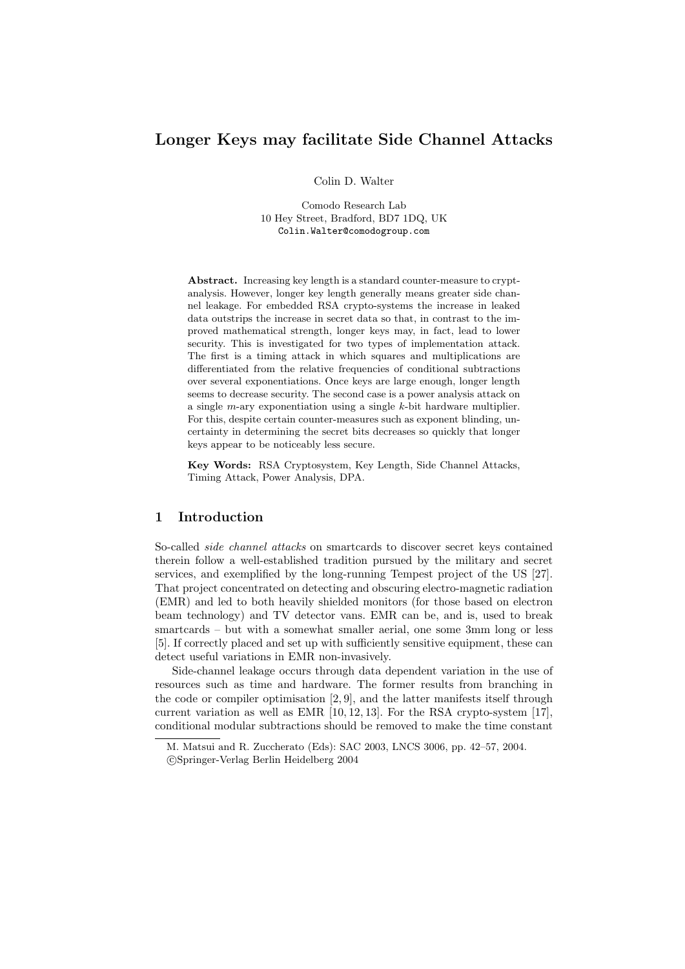# Longer Keys may facilitate Side Channel Attacks

Colin D. Walter

Comodo Research Lab 10 Hey Street, Bradford, BD7 1DQ, UK Colin.Walter@comodogroup.com

Abstract. Increasing key length is a standard counter-measure to cryptanalysis. However, longer key length generally means greater side channel leakage. For embedded RSA crypto-systems the increase in leaked data outstrips the increase in secret data so that, in contrast to the improved mathematical strength, longer keys may, in fact, lead to lower security. This is investigated for two types of implementation attack. The first is a timing attack in which squares and multiplications are differentiated from the relative frequencies of conditional subtractions over several exponentiations. Once keys are large enough, longer length seems to decrease security. The second case is a power analysis attack on a single m-ary exponentiation using a single k-bit hardware multiplier. For this, despite certain counter-measures such as exponent blinding, uncertainty in determining the secret bits decreases so quickly that longer keys appear to be noticeably less secure.

Key Words: RSA Cryptosystem, Key Length, Side Channel Attacks, Timing Attack, Power Analysis, DPA.

#### 1 Introduction

So-called side channel attacks on smartcards to discover secret keys contained therein follow a well-established tradition pursued by the military and secret services, and exemplified by the long-running Tempest project of the US [27]. That project concentrated on detecting and obscuring electro-magnetic radiation (EMR) and led to both heavily shielded monitors (for those based on electron beam technology) and TV detector vans. EMR can be, and is, used to break smartcards – but with a somewhat smaller aerial, one some 3mm long or less [5]. If correctly placed and set up with sufficiently sensitive equipment, these can detect useful variations in EMR non-invasively.

Side-channel leakage occurs through data dependent variation in the use of resources such as time and hardware. The former results from branching in the code or compiler optimisation [2, 9], and the latter manifests itself through current variation as well as EMR  $[10, 12, 13]$ . For the RSA crypto-system  $[17]$ , conditional modular subtractions should be removed to make the time constant

M. Matsui and R. Zuccherato (Eds): SAC 2003, LNCS 3006, pp. 42–57, 2004.

c Springer-Verlag Berlin Heidelberg 2004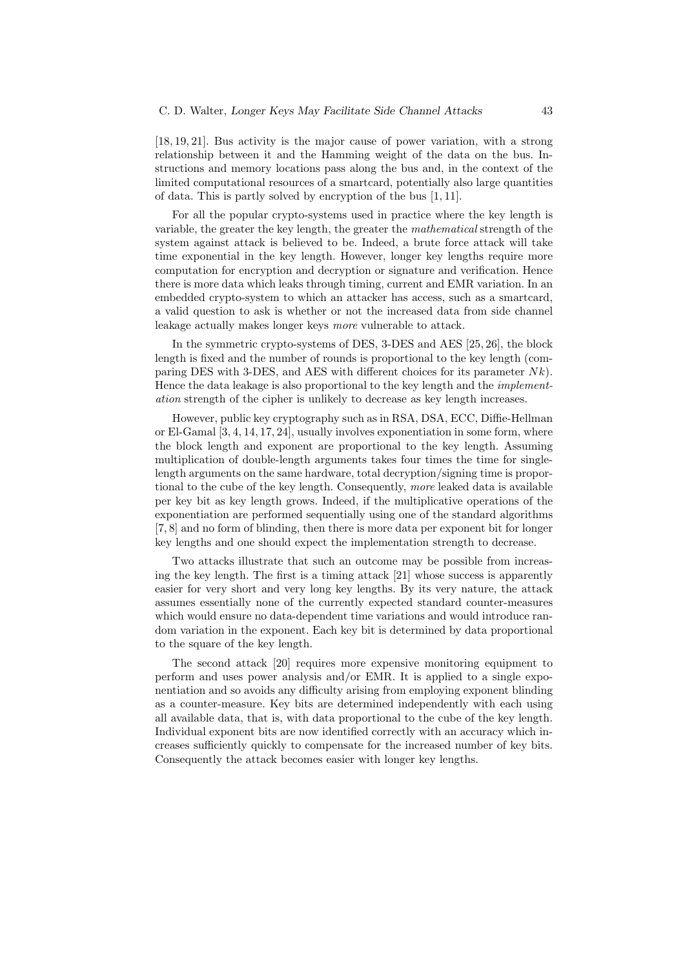[18, 19, 21]. Bus activity is the major cause of power variation, with a strong relationship between it and the Hamming weight of the data on the bus. Instructions and memory locations pass along the bus and, in the context of the limited computational resources of a smartcard, potentially also large quantities of data. This is partly solved by encryption of the bus [1, 11].

For all the popular crypto-systems used in practice where the key length is variable, the greater the key length, the greater the mathematical strength of the system against attack is believed to be. Indeed, a brute force attack will take time exponential in the key length. However, longer key lengths require more computation for encryption and decryption or signature and verification. Hence there is more data which leaks through timing, current and EMR variation. In an embedded crypto-system to which an attacker has access, such as a smartcard, a valid question to ask is whether or not the increased data from side channel leakage actually makes longer keys more vulnerable to attack.

In the symmetric crypto-systems of DES, 3-DES and AES [25, 26], the block length is fixed and the number of rounds is proportional to the key length (comparing DES with 3-DES, and AES with different choices for its parameter  $Nk$ ). Hence the data leakage is also proportional to the key length and the implementation strength of the cipher is unlikely to decrease as key length increases.

However, public key cryptography such as in RSA, DSA, ECC, Diffie-Hellman or El-Gamal [3, 4, 14, 17, 24], usually involves exponentiation in some form, where the block length and exponent are proportional to the key length. Assuming multiplication of double-length arguments takes four times the time for singlelength arguments on the same hardware, total decryption/signing time is proportional to the cube of the key length. Consequently, more leaked data is available per key bit as key length grows. Indeed, if the multiplicative operations of the exponentiation are performed sequentially using one of the standard algorithms [7, 8] and no form of blinding, then there is more data per exponent bit for longer key lengths and one should expect the implementation strength to decrease.

Two attacks illustrate that such an outcome may be possible from increasing the key length. The first is a timing attack [21] whose success is apparently easier for very short and very long key lengths. By its very nature, the attack assumes essentially none of the currently expected standard counter-measures which would ensure no data-dependent time variations and would introduce random variation in the exponent. Each key bit is determined by data proportional to the square of the key length.

The second attack [20] requires more expensive monitoring equipment to perform and uses power analysis and/or EMR. It is applied to a single exponentiation and so avoids any difficulty arising from employing exponent blinding as a counter-measure. Key bits are determined independently with each using all available data, that is, with data proportional to the cube of the key length. Individual exponent bits are now identified correctly with an accuracy which increases sufficiently quickly to compensate for the increased number of key bits. Consequently the attack becomes easier with longer key lengths.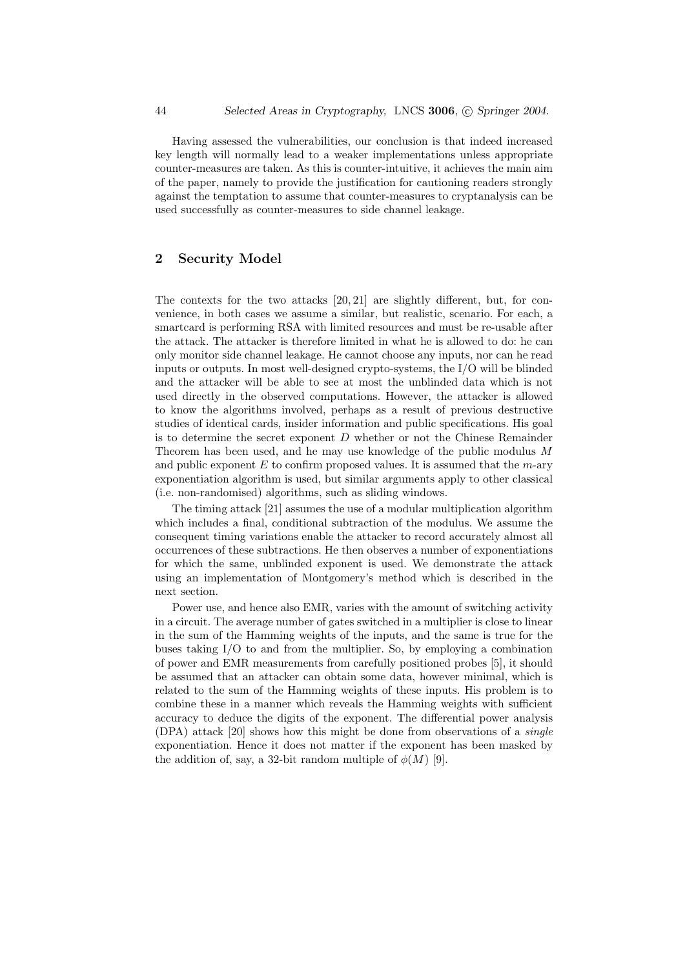Having assessed the vulnerabilities, our conclusion is that indeed increased key length will normally lead to a weaker implementations unless appropriate counter-measures are taken. As this is counter-intuitive, it achieves the main aim of the paper, namely to provide the justification for cautioning readers strongly against the temptation to assume that counter-measures to cryptanalysis can be used successfully as counter-measures to side channel leakage.

## 2 Security Model

The contexts for the two attacks [20, 21] are slightly different, but, for convenience, in both cases we assume a similar, but realistic, scenario. For each, a smartcard is performing RSA with limited resources and must be re-usable after the attack. The attacker is therefore limited in what he is allowed to do: he can only monitor side channel leakage. He cannot choose any inputs, nor can he read inputs or outputs. In most well-designed crypto-systems, the I/O will be blinded and the attacker will be able to see at most the unblinded data which is not used directly in the observed computations. However, the attacker is allowed to know the algorithms involved, perhaps as a result of previous destructive studies of identical cards, insider information and public specifications. His goal is to determine the secret exponent  $D$  whether or not the Chinese Remainder Theorem has been used, and he may use knowledge of the public modulus M and public exponent  $E$  to confirm proposed values. It is assumed that the  $m$ -ary exponentiation algorithm is used, but similar arguments apply to other classical (i.e. non-randomised) algorithms, such as sliding windows.

The timing attack [21] assumes the use of a modular multiplication algorithm which includes a final, conditional subtraction of the modulus. We assume the consequent timing variations enable the attacker to record accurately almost all occurrences of these subtractions. He then observes a number of exponentiations for which the same, unblinded exponent is used. We demonstrate the attack using an implementation of Montgomery's method which is described in the next section.

Power use, and hence also EMR, varies with the amount of switching activity in a circuit. The average number of gates switched in a multiplier is close to linear in the sum of the Hamming weights of the inputs, and the same is true for the buses taking I/O to and from the multiplier. So, by employing a combination of power and EMR measurements from carefully positioned probes [5], it should be assumed that an attacker can obtain some data, however minimal, which is related to the sum of the Hamming weights of these inputs. His problem is to combine these in a manner which reveals the Hamming weights with sufficient accuracy to deduce the digits of the exponent. The differential power analysis (DPA) attack [20] shows how this might be done from observations of a single exponentiation. Hence it does not matter if the exponent has been masked by the addition of, say, a 32-bit random multiple of  $\phi(M)$  [9].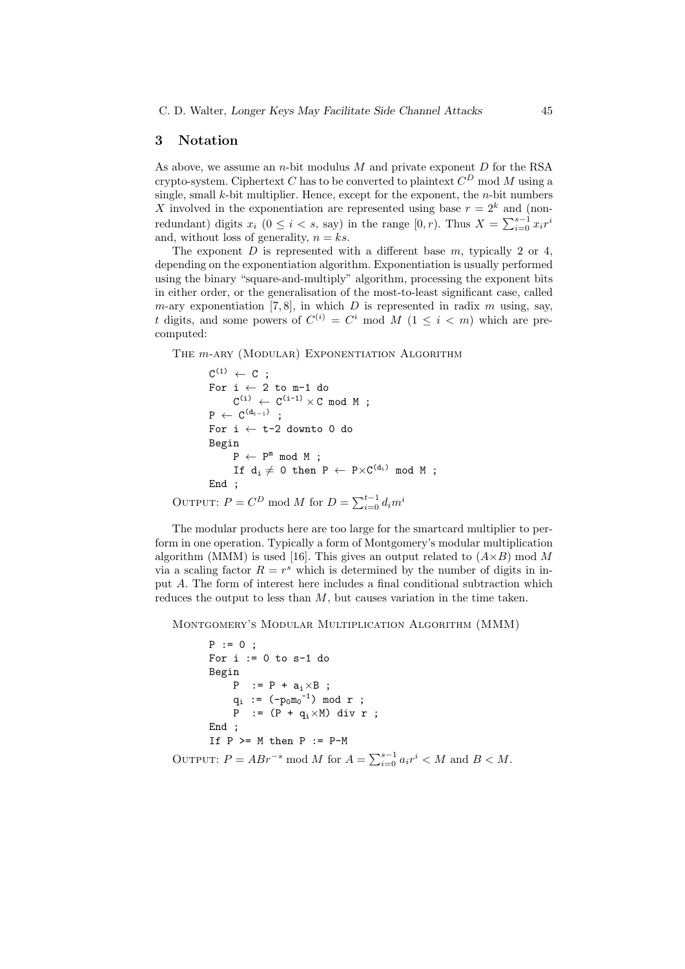#### 3 Notation

As above, we assume an  $n$ -bit modulus  $M$  and private exponent  $D$  for the RSA crypto-system. Ciphertext C has to be converted to plaintext  $C^D$  mod M using a single, small  $k$ -bit multiplier. Hence, except for the exponent, the  $n$ -bit numbers X involved in the exponentiation are represented using base  $r = 2<sup>k</sup>$  and (nonredundant) digits  $x_i$  ( $0 \leq i < s$ , say) in the range  $[0, r)$ . Thus  $X = \sum_{i=0}^{s-1} x_i r^i$ and, without loss of generality,  $n = ks$ .

The exponent  $D$  is represented with a different base  $m$ , typically 2 or 4, depending on the exponentiation algorithm. Exponentiation is usually performed using the binary "square-and-multiply" algorithm, processing the exponent bits in either order, or the generalisation of the most-to-least significant case, called  $m$ -ary exponentiation [7,8], in which D is represented in radix  $m$  using, say, t digits, and some powers of  $C^{(i)} = C^i \mod M$   $(1 \leq i \leq m)$  which are precomputed:

THE  $m$ -ARY (MODULAR) EXPONENTIATION ALGORITHM

```
C^{(1)} \leftarrow C ;
          For i \leftarrow 2 to m-1 do
                C^{(i)} \leftarrow C^{(i-1)} \times C \mod M ;
          P \leftarrow C^{(d_{t-1})} ;
         For i \leftarrow t-2 downto 0 do
         Begin
                P \leftarrow P^{m} \mod M ;
                If d_i \neq 0 then P \leftarrow P \times C^{(d_i)} mod M ;
         End ;
OUTPUT: P = C^D \mod M for D = \sum_{i=0}^{t-1} d_i m^i
```
The modular products here are too large for the smartcard multiplier to perform in one operation. Typically a form of Montgomery's modular multiplication algorithm (MMM) is used [16]. This gives an output related to  $(A\times B)$  mod M via a scaling factor  $R = r<sup>s</sup>$  which is determined by the number of digits in input A. The form of interest here includes a final conditional subtraction which reduces the output to less than  $M$ , but causes variation in the time taken.

Montgomery's Modular Multiplication Algorithm (MMM)

```
P := 0;For i := 0 to s-1 do
       Begin
           P := P + a_i \times B ;
            q_i := (-p_0m_0^{-1}) mod r ;
           P := (P + q_i \times M) div r;
       End ;
       If P >= M then P := P-MOUTPUT: P = ABr^{-s} \mod M for A = \sum_{i=0}^{s-1} a_i r^i < M and B < M.
```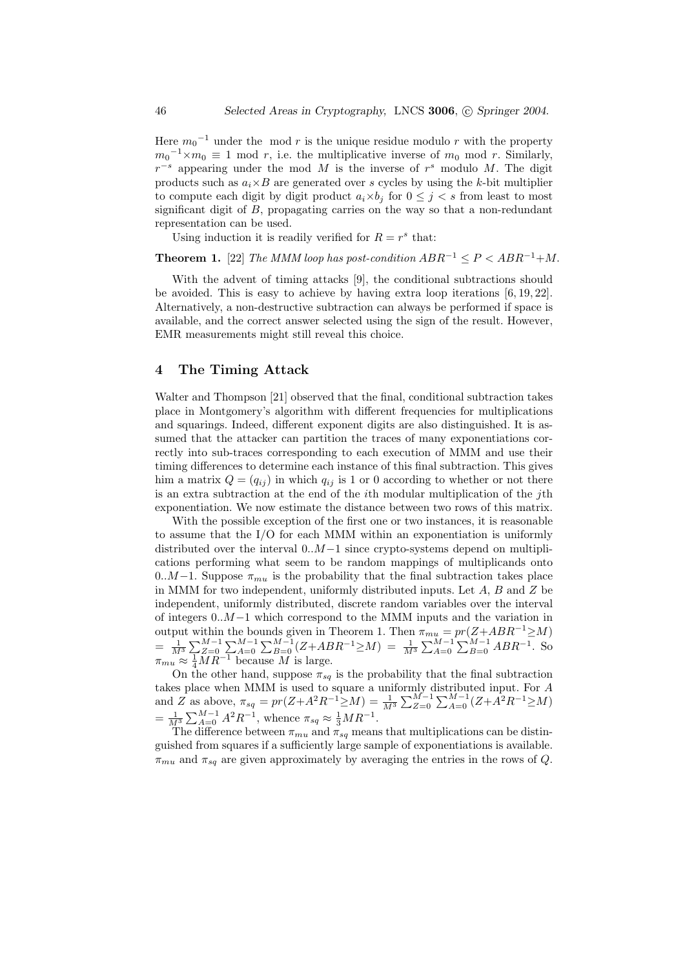Here  $m_0$ <sup>-1</sup> under the mod r is the unique residue modulo r with the property  $m_0^{-1} \times m_0 \equiv 1 \mod r$ , i.e. the multiplicative inverse of  $m_0$  mod r. Similarly,  $r^{-s}$  appearing under the mod M is the inverse of  $r^{s}$  modulo M. The digit products such as  $a_i \times B$  are generated over s cycles by using the k-bit multiplier to compute each digit by digit product  $a_i \times b_j$  for  $0 \leq j \leq s$  from least to most significant digit of B, propagating carries on the way so that a non-redundant representation can be used.

Using induction it is readily verified for  $R = r<sup>s</sup>$  that:

## **Theorem 1.** [22] The MMM loop has post-condition  $ABR^{-1} < P < ABR^{-1}+M$ .

With the advent of timing attacks [9], the conditional subtractions should be avoided. This is easy to achieve by having extra loop iterations [6, 19, 22]. Alternatively, a non-destructive subtraction can always be performed if space is available, and the correct answer selected using the sign of the result. However, EMR measurements might still reveal this choice.

### 4 The Timing Attack

Walter and Thompson [21] observed that the final, conditional subtraction takes place in Montgomery's algorithm with different frequencies for multiplications and squarings. Indeed, different exponent digits are also distinguished. It is assumed that the attacker can partition the traces of many exponentiations correctly into sub-traces corresponding to each execution of MMM and use their timing differences to determine each instance of this final subtraction. This gives him a matrix  $Q = (q_{ij})$  in which  $q_{ij}$  is 1 or 0 according to whether or not there is an extra subtraction at the end of the ith modular multiplication of the jth exponentiation. We now estimate the distance between two rows of this matrix.

With the possible exception of the first one or two instances, it is reasonable to assume that the I/O for each MMM within an exponentiation is uniformly distributed over the interval 0..M−1 since crypto-systems depend on multiplications performing what seem to be random mappings of multiplicands onto 0.. $M-1$ . Suppose  $\pi_{mu}$  is the probability that the final subtraction takes place in MMM for two independent, uniformly distributed inputs. Let  $A, B$  and  $Z$  be independent, uniformly distributed, discrete random variables over the interval of integers 0..M−1 which correspond to the MMM inputs and the variation in output within the bounds given in Theorem 1. Then  $\pi_{mu} = pr(Z + ABR^{-1} \geq M)$  $=\frac{1}{M^3}\sum_{i=1}^{M-1}\sum_{Z=0}^{M-1}\sum_{B=0}^{M-1}(Z+ABR^{-1}\geq M) = \frac{1}{M^3}\sum_{A=0}^{M-1}\sum_{B=0}^{M-1}ABR^{-1}$ . So  $\pi_{mu} \approx \frac{1}{4} \overrightarrow{M} \overrightarrow{R}^{-1}$  because  $\overrightarrow{M}$  is large.

On the other hand, suppose  $\pi_{sq}$  is the probability that the final subtraction takes place when MMM is used to square a uniformly distributed input. For A and Z as above,  $\pi_{sq} = pr(Z + A^2 R^{-1} \ge M) = \frac{1}{M^3} \sum_{Z=0}^{M-1} \sum_{A=0}^{M-1} (Z + A^2 R^{-1} \ge M)$  $=\frac{1}{M^3}\sum_{A=0}^{M-1} A^2 R^{-1}$ , whence  $\pi_{sq} \approx \frac{1}{3} M R^{-1}$ .

The difference between  $\pi_{mu}$  and  $\pi_{sq}$  means that multiplications can be distinguished from squares if a sufficiently large sample of exponentiations is available.  $\pi_{mu}$  and  $\pi_{sa}$  are given approximately by averaging the entries in the rows of Q.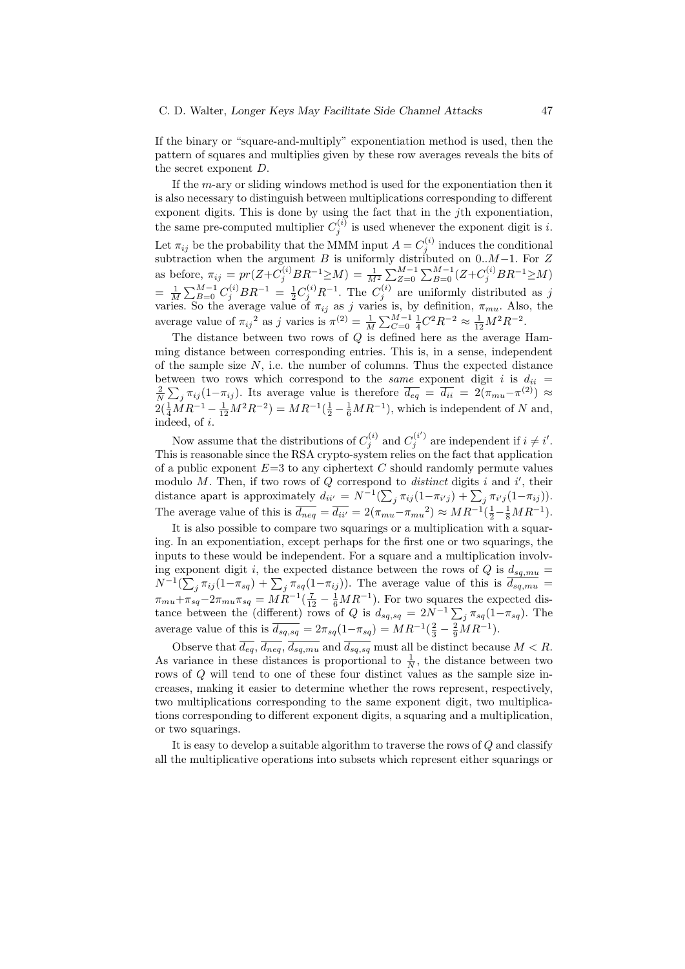If the binary or "square-and-multiply" exponentiation method is used, then the pattern of squares and multiplies given by these row averages reveals the bits of the secret exponent D.

If the m-ary or sliding windows method is used for the exponentiation then it is also necessary to distinguish between multiplications corresponding to different exponent digits. This is done by using the fact that in the jth exponentiation, the same pre-computed multiplier  $C_j^{(i)}$  is used whenever the exponent digit is *i*. Let  $\pi_{ij}$  be the probability that the MMM input  $A = C_j^{(i)}$  induces the conditional subtraction when the argument B is uniformly distributed on  $0..M-1$ . For Z as before,  $\pi_{ij} = pr(Z + C_j^{(i)}BR^{-1} \ge M) = \frac{1}{M^2} \sum_{Z=0}^{M-1} \sum_{B=0}^{M-1} (Z + C_j^{(i)}BR^{-1} \ge M)$  $=\frac{1}{M}\sum_{B=0}^{M-1}C_j^{(i)}BR^{-1}=\frac{1}{2}C_j^{(i)}R^{-1}$ . The  $C_j^{(i)}$  are uniformly distributed as j varies. So the average value of  $\pi_{ij}$  as j varies is, by definition,  $\pi_{mu}$ . Also, the average value of  $\pi_{ij}^2$  as j varies is  $\pi^{(2)} = \frac{1}{M} \sum_{C=0}^{M-1} \frac{1}{4} C^2 R^{-2} \approx \frac{1}{12} M^2 R^{-2}$ .

The distance between two rows of Q is defined here as the average Hamming distance between corresponding entries. This is, in a sense, independent of the sample size  $N$ , i.e. the number of columns. Thus the expected distance between two rows which correspond to the same exponent digit i is  $d_{ii}$  =  $\frac{2}{N}\sum_j \pi_{ij}(1-\pi_{ij})$ . Its average value is therefore  $\overline{d_{eq}} = \overline{d_{ii}} = 2(\pi_{mu}-\pi^{(2)}) \approx$  $2(\frac{1}{4}MR^{-1} - \frac{1}{12}M^2R^{-2}) = MR^{-1}(\frac{1}{2} - \frac{1}{6}MR^{-1})$ , which is independent of N and, indeed, of i.

Now assume that the distributions of  $C_j^{(i)}$  and  $C_j^{(i')}$  are independent if  $i \neq i'$ . This is reasonable since the RSA crypto-system relies on the fact that application of a public exponent  $E=3$  to any ciphertext C should randomly permute values modulo M. Then, if two rows of  $Q$  correspond to *distinct* digits i and i', their distance apart is approximately  $d_{ii'} = N^{-1}(\sum_j \pi_{ij}(1-\pi_{i'j}) + \sum_j \pi_{i'j}(1-\pi_{ij}))$ . The average value of this is  $\overline{d_{neq}} = \overline{d_{ii'}} = 2(\pi_{mu} - \pi_{mu}^2) \approx MR^{-1}(\frac{1}{2} - \frac{1}{8}MR^{-1}).$ 

It is also possible to compare two squarings or a multiplication with a squaring. In an exponentiation, except perhaps for the first one or two squarings, the inputs to these would be independent. For a square and a multiplication involving exponent digit i, the expected distance between the rows of Q is  $d_{sq,mu}$  =  $N^{-1}(\sum_j \pi_{ij}(1-\pi_{sq}) + \sum_j \pi_{sq}(1-\pi_{ij}))$ . The average value of this is  $\overline{d_{sq,mu}} =$  $\pi_{mu} + \pi_{sq} - 2\pi_{mu}\pi_{sq} = MR^{-1}(\frac{7}{12} - \frac{1}{6}MR^{-1})$ . For two squares the expected distance between the (different) rows of Q is  $d_{sq,sq} = 2N^{-1} \sum_j \pi_{sq}(1-\pi_{sq})$ . The average value of this is  $\overline{d_{sq,sq}} = 2\pi_{sq}(1-\pi_{sq}) = MR^{-1}(\frac{2}{3} - \frac{2}{9}MR^{-1}).$ 

Observe that  $\overline{d_{eq}}$ ,  $\overline{d_{seq}}$ ,  $\overline{d_{sq,mu}}$  and  $\overline{d_{sq,sq}}$  must all be distinct because  $M < R$ . As variance in these distances is proportional to  $\frac{1}{N}$ , the distance between two rows of Q will tend to one of these four distinct values as the sample size increases, making it easier to determine whether the rows represent, respectively, two multiplications corresponding to the same exponent digit, two multiplications corresponding to different exponent digits, a squaring and a multiplication, or two squarings.

It is easy to develop a suitable algorithm to traverse the rows of Q and classify all the multiplicative operations into subsets which represent either squarings or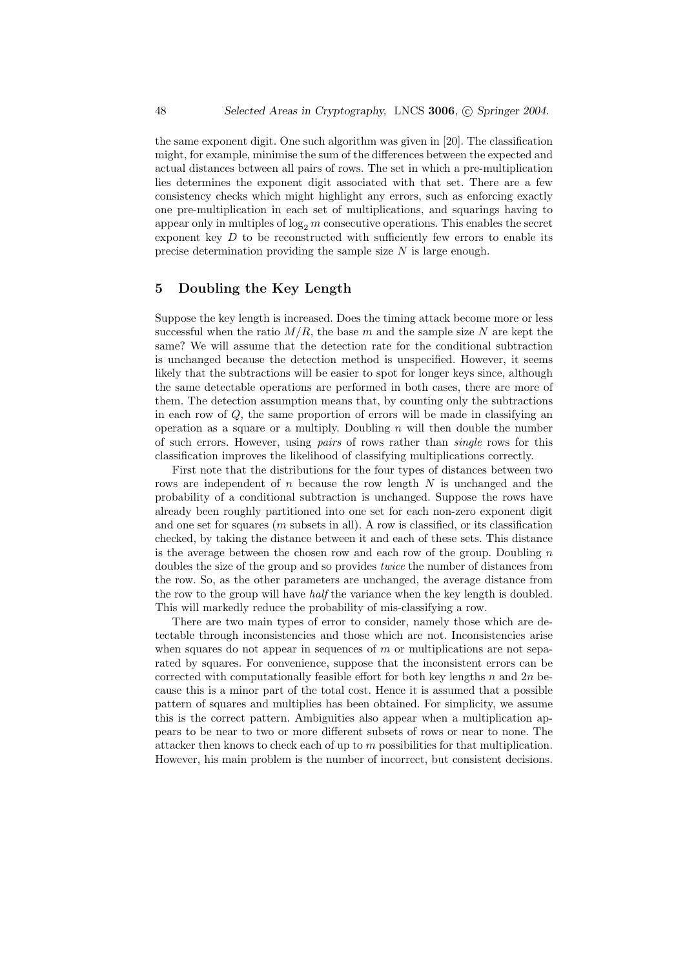the same exponent digit. One such algorithm was given in [20]. The classification might, for example, minimise the sum of the differences between the expected and actual distances between all pairs of rows. The set in which a pre-multiplication lies determines the exponent digit associated with that set. There are a few consistency checks which might highlight any errors, such as enforcing exactly one pre-multiplication in each set of multiplications, and squarings having to appear only in multiples of  $\log_2 m$  consecutive operations. This enables the secret exponent key  $D$  to be reconstructed with sufficiently few errors to enable its precise determination providing the sample size  $N$  is large enough.

## 5 Doubling the Key Length

Suppose the key length is increased. Does the timing attack become more or less successful when the ratio  $M/R$ , the base m and the sample size N are kept the same? We will assume that the detection rate for the conditional subtraction is unchanged because the detection method is unspecified. However, it seems likely that the subtractions will be easier to spot for longer keys since, although the same detectable operations are performed in both cases, there are more of them. The detection assumption means that, by counting only the subtractions in each row of Q, the same proportion of errors will be made in classifying an operation as a square or a multiply. Doubling  $n$  will then double the number of such errors. However, using pairs of rows rather than single rows for this classification improves the likelihood of classifying multiplications correctly.

First note that the distributions for the four types of distances between two rows are independent of  $n$  because the row length  $N$  is unchanged and the probability of a conditional subtraction is unchanged. Suppose the rows have already been roughly partitioned into one set for each non-zero exponent digit and one set for squares  $(m$  subsets in all). A row is classified, or its classification checked, by taking the distance between it and each of these sets. This distance is the average between the chosen row and each row of the group. Doubling  $n$ doubles the size of the group and so provides twice the number of distances from the row. So, as the other parameters are unchanged, the average distance from the row to the group will have *half* the variance when the key length is doubled. This will markedly reduce the probability of mis-classifying a row.

There are two main types of error to consider, namely those which are detectable through inconsistencies and those which are not. Inconsistencies arise when squares do not appear in sequences of  $m$  or multiplications are not separated by squares. For convenience, suppose that the inconsistent errors can be corrected with computationally feasible effort for both key lengths n and  $2n$  because this is a minor part of the total cost. Hence it is assumed that a possible pattern of squares and multiplies has been obtained. For simplicity, we assume this is the correct pattern. Ambiguities also appear when a multiplication appears to be near to two or more different subsets of rows or near to none. The attacker then knows to check each of up to  $m$  possibilities for that multiplication. However, his main problem is the number of incorrect, but consistent decisions.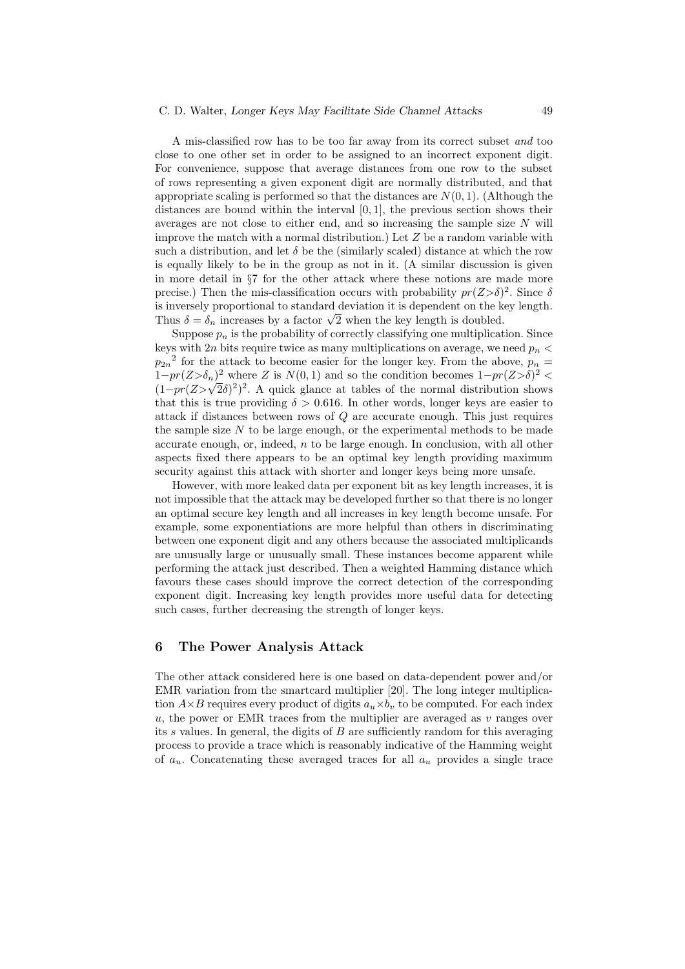A mis-classified row has to be too far away from its correct subset and too close to one other set in order to be assigned to an incorrect exponent digit. For convenience, suppose that average distances from one row to the subset of rows representing a given exponent digit are normally distributed, and that appropriate scaling is performed so that the distances are  $N(0, 1)$ . (Although the distances are bound within the interval  $[0, 1]$ , the previous section shows their averages are not close to either end, and so increasing the sample size  $N$  will improve the match with a normal distribution.) Let  $Z$  be a random variable with such a distribution, and let  $\delta$  be the (similarly scaled) distance at which the row is equally likely to be in the group as not in it. (A similar discussion is given in more detail in §7 for the other attack where these notions are made more precise.) Then the mis-classification occurs with probability  $pr(Z>\delta)^2$ . Since  $\delta$ is inversely proportional to standard deviation it is dependent on the key length. Is inversely proportional to standard deviation it is dependent on the k<br>Thus  $\delta = \delta_n$  increases by a factor  $\sqrt{2}$  when the key length is doubled.

Suppose  $p_n$  is the probability of correctly classifying one multiplication. Since keys with 2n bits require twice as many multiplications on average, we need  $p_n <$  $p_{2n}^2$  for the attack to become easier for the longer key. From the above,  $p_n =$  $1-pr(Z>\delta_n)^2$  where Z is  $N(0,1)$  and so the condition becomes  $1-pr(Z>\delta)^2$  $(1-pr(Z>0<sub>n</sub>)<sup>2</sup>)<sup>2</sup>$ . A quick glance at tables of the normal distribution shows that this is true providing  $\delta > 0.616$ . In other words, longer keys are easier to attack if distances between rows of Q are accurate enough. This just requires the sample size  $N$  to be large enough, or the experimental methods to be made accurate enough, or, indeed,  $n$  to be large enough. In conclusion, with all other aspects fixed there appears to be an optimal key length providing maximum security against this attack with shorter and longer keys being more unsafe.

However, with more leaked data per exponent bit as key length increases, it is not impossible that the attack may be developed further so that there is no longer an optimal secure key length and all increases in key length become unsafe. For example, some exponentiations are more helpful than others in discriminating between one exponent digit and any others because the associated multiplicands are unusually large or unusually small. These instances become apparent while performing the attack just described. Then a weighted Hamming distance which favours these cases should improve the correct detection of the corresponding exponent digit. Increasing key length provides more useful data for detecting such cases, further decreasing the strength of longer keys.

#### 6 The Power Analysis Attack

The other attack considered here is one based on data-dependent power and/or EMR variation from the smartcard multiplier [20]. The long integer multiplication  $A \times B$  requires every product of digits  $a_n \times b_n$  to be computed. For each index u, the power or EMR traces from the multiplier are averaged as  $v$  ranges over its s values. In general, the digits of B are sufficiently random for this averaging process to provide a trace which is reasonably indicative of the Hamming weight of  $a_u$ . Concatenating these averaged traces for all  $a_u$  provides a single trace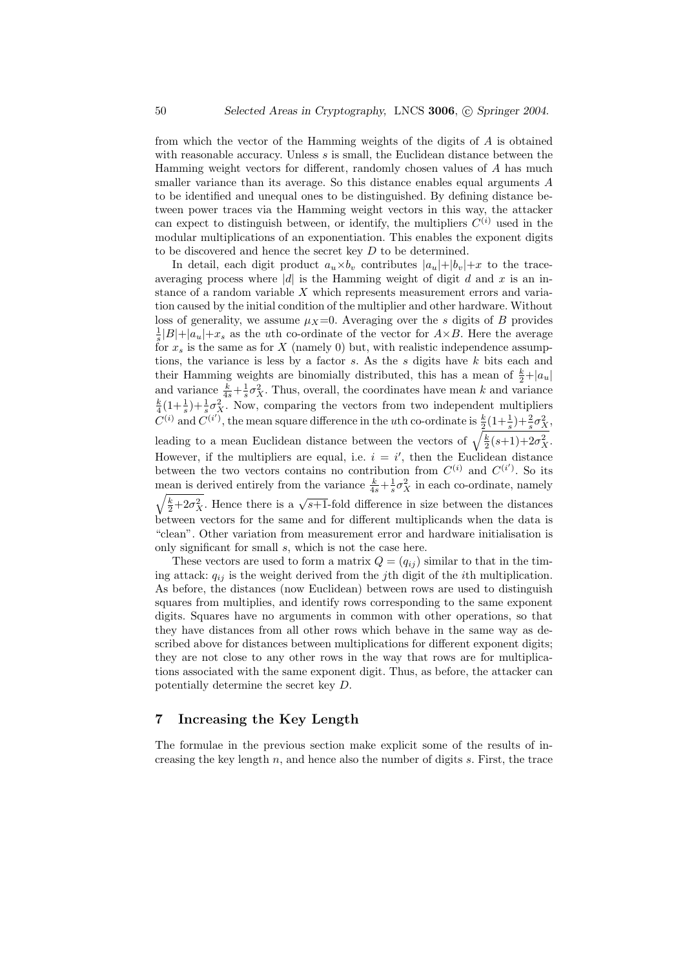from which the vector of the Hamming weights of the digits of A is obtained with reasonable accuracy. Unless s is small, the Euclidean distance between the Hamming weight vectors for different, randomly chosen values of A has much smaller variance than its average. So this distance enables equal arguments A to be identified and unequal ones to be distinguished. By defining distance between power traces via the Hamming weight vectors in this way, the attacker can expect to distinguish between, or identify, the multipliers  $C^{(i)}$  used in the modular multiplications of an exponentiation. This enables the exponent digits to be discovered and hence the secret key D to be determined.

In detail, each digit product  $a_u \times b_v$  contributes  $|a_u|+|b_v|+x$  to the traceaveraging process where  $|d|$  is the Hamming weight of digit d and x is an instance of a random variable X which represents measurement errors and variation caused by the initial condition of the multiplier and other hardware. Without loss of generality, we assume  $\mu_X=0$ . Averaging over the s digits of B provides  $\frac{1}{s}|B|+|a_u|+x_s$  as the uth co-ordinate of the vector for  $A\times B$ . Here the average for  $x_s$  is the same as for X (namely 0) but, with realistic independence assumptions, the variance is less by a factor s. As the s digits have  $k$  bits each and their Hamming weights are binomially distributed, this has a mean of  $\frac{k}{2} + |a_u|$ and variance  $\frac{k}{4s} + \frac{1}{s}\sigma_X^2$ . Thus, overall, the coordinates have mean k and variance  $\frac{k}{4}(1+\frac{1}{s})+\frac{1}{s}\sigma_X^2$ . Now, comparing the vectors from two independent multipliers  $C^{(i)}$  and  $C^{(i')}$ , the mean square difference in the *uth* co-ordinate is  $\frac{k}{2}(1+\frac{1}{s})+\frac{2}{s}\sigma_X^2$ , leading to a mean Euclidean distance between the vectors of  $\sqrt{\frac{k}{2}(s+1)+2\sigma_X^2}$ . However, if the multipliers are equal, i.e.  $i = i'$ , then the Euclidean distance between the two vectors contains no contribution from  $C^{(i)}$  and  $C^{(i')}$ . So its mean is derived entirely from the variance  $\frac{k}{4s} + \frac{1}{s}\sigma_X^2$  in each co-ordinate, namely  $\sqrt{\frac{k}{2}+2\sigma_X^2}$ . Hence there is a  $\sqrt{s+1}$ -fold difference in size between the distances between vectors for the same and for different multiplicands when the data is "clean". Other variation from measurement error and hardware initialisation is only significant for small s, which is not the case here.

These vectors are used to form a matrix  $Q = (q_{ij})$  similar to that in the timing attack:  $q_{ij}$  is the weight derived from the j<sup>th</sup> digit of the *i*<sup>th</sup> multiplication. As before, the distances (now Euclidean) between rows are used to distinguish squares from multiplies, and identify rows corresponding to the same exponent digits. Squares have no arguments in common with other operations, so that they have distances from all other rows which behave in the same way as described above for distances between multiplications for different exponent digits; they are not close to any other rows in the way that rows are for multiplications associated with the same exponent digit. Thus, as before, the attacker can potentially determine the secret key D.

## 7 Increasing the Key Length

The formulae in the previous section make explicit some of the results of increasing the key length  $n$ , and hence also the number of digits  $s$ . First, the trace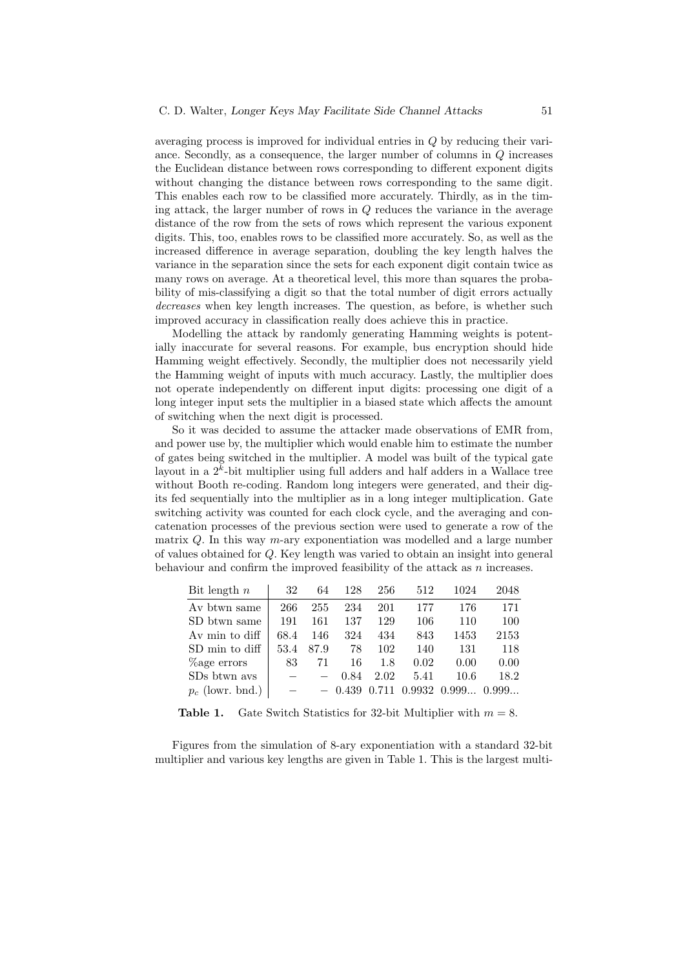averaging process is improved for individual entries in Q by reducing their variance. Secondly, as a consequence, the larger number of columns in Q increases the Euclidean distance between rows corresponding to different exponent digits without changing the distance between rows corresponding to the same digit. This enables each row to be classified more accurately. Thirdly, as in the timing attack, the larger number of rows in  $\hat{Q}$  reduces the variance in the average distance of the row from the sets of rows which represent the various exponent digits. This, too, enables rows to be classified more accurately. So, as well as the increased difference in average separation, doubling the key length halves the variance in the separation since the sets for each exponent digit contain twice as many rows on average. At a theoretical level, this more than squares the probability of mis-classifying a digit so that the total number of digit errors actually decreases when key length increases. The question, as before, is whether such improved accuracy in classification really does achieve this in practice.

Modelling the attack by randomly generating Hamming weights is potentially inaccurate for several reasons. For example, bus encryption should hide Hamming weight effectively. Secondly, the multiplier does not necessarily yield the Hamming weight of inputs with much accuracy. Lastly, the multiplier does not operate independently on different input digits: processing one digit of a long integer input sets the multiplier in a biased state which affects the amount of switching when the next digit is processed.

So it was decided to assume the attacker made observations of EMR from, and power use by, the multiplier which would enable him to estimate the number of gates being switched in the multiplier. A model was built of the typical gate layout in a  $2^k$ -bit multiplier using full adders and half adders in a Wallace tree without Booth re-coding. Random long integers were generated, and their digits fed sequentially into the multiplier as in a long integer multiplication. Gate switching activity was counted for each clock cycle, and the averaging and concatenation processes of the previous section were used to generate a row of the matrix  $Q$ . In this way m-ary exponentiation was modelled and a large number of values obtained for Q. Key length was varied to obtain an insight into general behaviour and confirm the improved feasibility of the attack as n increases.

| Bit length $n$           | 32   | 64   | 128      | 256   | 512  | 1024                     | 2048 |
|--------------------------|------|------|----------|-------|------|--------------------------|------|
| Av btwn same             | 266  | 255  | 234      | 201   | 177  | 176                      | 171  |
| SD btwn same             | 191  | 161  | 137      | 129   | 106  | 110                      | 100  |
| Av min to diff           | 68.4 | 146  | 324      | 434   | 843  | 1453                     | 2153 |
| SD min to diff           | 53.4 | 87.9 | 78       | 102   | 140  | 131                      | 118  |
| Lage errors              | 83   | 71   | 16       | 1.8   | 0.02 | 0.00                     | 0.00 |
| SD <sub>s</sub> btwn avs |      |      | 0.84     | 2.02  | 5.41 | 10.6                     | 18.2 |
| $p_c$ (lowr. bnd.)       |      |      | $-0.439$ | 0.711 |      | $0.9932$ $0.999$ $0.999$ |      |

**Table 1.** Gate Switch Statistics for 32-bit Multiplier with  $m = 8$ .

Figures from the simulation of 8-ary exponentiation with a standard 32-bit multiplier and various key lengths are given in Table 1. This is the largest multi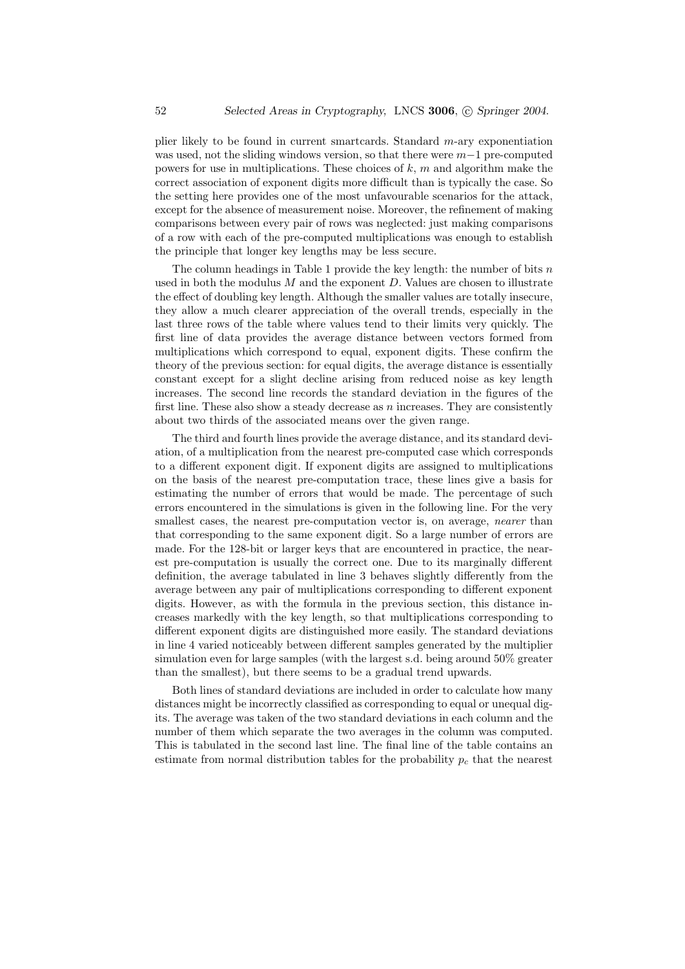plier likely to be found in current smartcards. Standard m-ary exponentiation was used, not the sliding windows version, so that there were  $m-1$  pre-computed powers for use in multiplications. These choices of  $k$ ,  $m$  and algorithm make the correct association of exponent digits more difficult than is typically the case. So the setting here provides one of the most unfavourable scenarios for the attack, except for the absence of measurement noise. Moreover, the refinement of making comparisons between every pair of rows was neglected: just making comparisons of a row with each of the pre-computed multiplications was enough to establish the principle that longer key lengths may be less secure.

The column headings in Table 1 provide the key length: the number of bits  $n$ used in both the modulus  $M$  and the exponent  $D$ . Values are chosen to illustrate the effect of doubling key length. Although the smaller values are totally insecure, they allow a much clearer appreciation of the overall trends, especially in the last three rows of the table where values tend to their limits very quickly. The first line of data provides the average distance between vectors formed from multiplications which correspond to equal, exponent digits. These confirm the theory of the previous section: for equal digits, the average distance is essentially constant except for a slight decline arising from reduced noise as key length increases. The second line records the standard deviation in the figures of the first line. These also show a steady decrease as  $n$  increases. They are consistently about two thirds of the associated means over the given range.

The third and fourth lines provide the average distance, and its standard deviation, of a multiplication from the nearest pre-computed case which corresponds to a different exponent digit. If exponent digits are assigned to multiplications on the basis of the nearest pre-computation trace, these lines give a basis for estimating the number of errors that would be made. The percentage of such errors encountered in the simulations is given in the following line. For the very smallest cases, the nearest pre-computation vector is, on average, *nearer* than that corresponding to the same exponent digit. So a large number of errors are made. For the 128-bit or larger keys that are encountered in practice, the nearest pre-computation is usually the correct one. Due to its marginally different definition, the average tabulated in line 3 behaves slightly differently from the average between any pair of multiplications corresponding to different exponent digits. However, as with the formula in the previous section, this distance increases markedly with the key length, so that multiplications corresponding to different exponent digits are distinguished more easily. The standard deviations in line 4 varied noticeably between different samples generated by the multiplier simulation even for large samples (with the largest s.d. being around 50% greater than the smallest), but there seems to be a gradual trend upwards.

Both lines of standard deviations are included in order to calculate how many distances might be incorrectly classified as corresponding to equal or unequal digits. The average was taken of the two standard deviations in each column and the number of them which separate the two averages in the column was computed. This is tabulated in the second last line. The final line of the table contains an estimate from normal distribution tables for the probability  $p_c$  that the nearest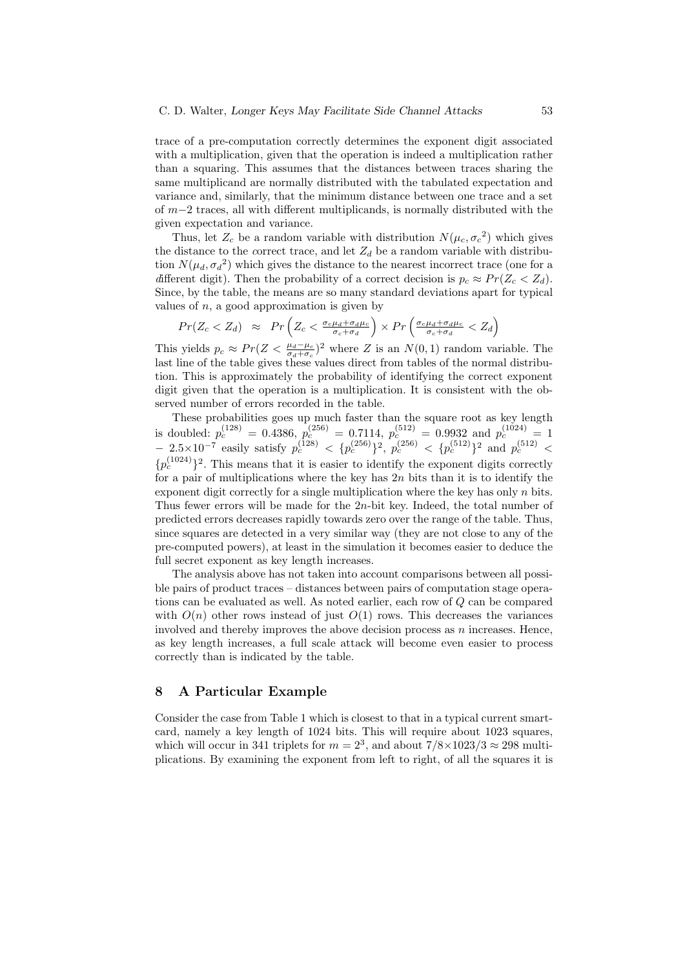trace of a pre-computation correctly determines the exponent digit associated with a multiplication, given that the operation is indeed a multiplication rather than a squaring. This assumes that the distances between traces sharing the same multiplicand are normally distributed with the tabulated expectation and variance and, similarly, that the minimum distance between one trace and a set of m−2 traces, all with different multiplicands, is normally distributed with the given expectation and variance.

Thus, let  $Z_c$  be a random variable with distribution  $N(\mu_c, \sigma_c^2)$  which gives the distance to the correct trace, and let  $Z_d$  be a random variable with distribution  $N(\mu_d, \sigma_d^2)$  which gives the distance to the nearest incorrect trace (one for a different digit). Then the probability of a correct decision is  $p_c \approx Pr(Z_c < Z_d)$ . Since, by the table, the means are so many standard deviations apart for typical values of  $n$ , a good approximation is given by

$$
Pr(Z_c < Z_d) \approx Pr\left(Z_c < \frac{\sigma_c \mu_d + \sigma_d \mu_c}{\sigma_c + \sigma_d}\right) \times Pr\left(\frac{\sigma_c \mu_d + \sigma_d \mu_c}{\sigma_c + \sigma_d} < Z_d\right)
$$

This yields  $p_c \approx Pr(Z < \frac{\mu_d - \mu_c}{\sigma_d + \sigma_c})^2$  where Z is an  $N(0, 1)$  random variable. The last line of the table gives these values direct from tables of the normal distribution. This is approximately the probability of identifying the correct exponent digit given that the operation is a multiplication. It is consistent with the observed number of errors recorded in the table.

These probabilities goes up much faster than the square root as key length is doubled:  $p_c^{(128)} = 0.4386, p_c^{(256)} = 0.7114, p_c^{(512)} = 0.9932$  and  $p_c^{(1024)} = 1$  $-2.5\times10^{-7}$  easily satisfy  $p_c^{(128)} < {p_c^{(256)}}^2$ ,  $p_c^{(256)} < {p_c^{(512)}}^2$  and  $p_c^{(512)} <$  $\{p_c^{(1024)}\}^2$ . This means that it is easier to identify the exponent digits correctly for a pair of multiplications where the key has  $2n$  bits than it is to identify the exponent digit correctly for a single multiplication where the key has only  $n$  bits. Thus fewer errors will be made for the  $2n$ -bit key. Indeed, the total number of predicted errors decreases rapidly towards zero over the range of the table. Thus, since squares are detected in a very similar way (they are not close to any of the pre-computed powers), at least in the simulation it becomes easier to deduce the full secret exponent as key length increases.

The analysis above has not taken into account comparisons between all possible pairs of product traces – distances between pairs of computation stage operations can be evaluated as well. As noted earlier, each row of Q can be compared with  $O(n)$  other rows instead of just  $O(1)$  rows. This decreases the variances involved and thereby improves the above decision process as  $n$  increases. Hence, as key length increases, a full scale attack will become even easier to process correctly than is indicated by the table.

#### 8 A Particular Example

Consider the case from Table 1 which is closest to that in a typical current smartcard, namely a key length of 1024 bits. This will require about 1023 squares, which will occur in 341 triplets for  $m = 2^3$ , and about  $7/8 \times 10^{23}/3 \approx 298$  multiplications. By examining the exponent from left to right, of all the squares it is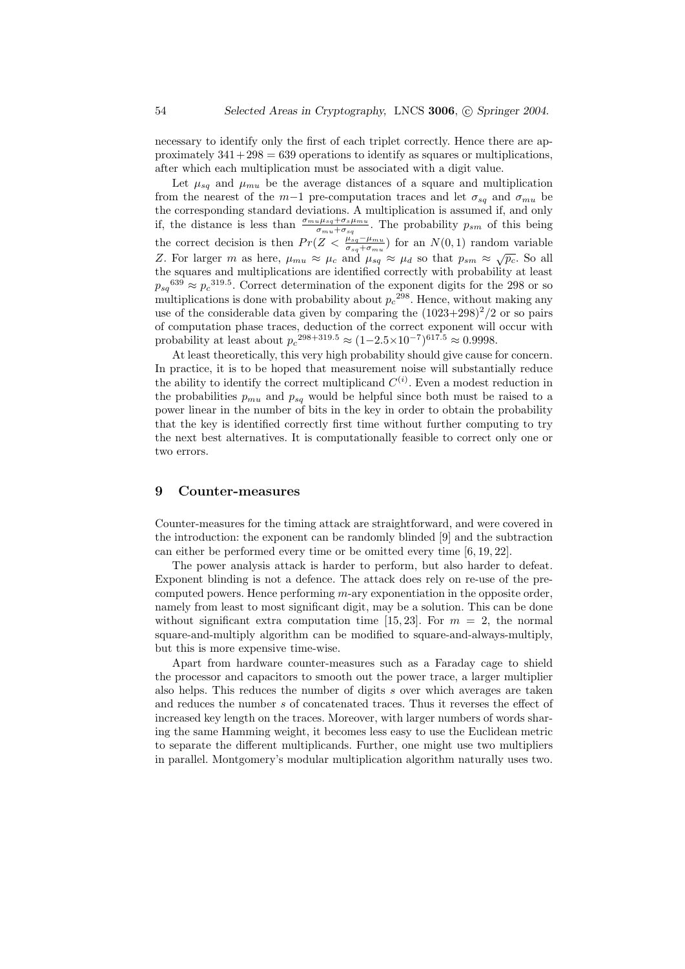necessary to identify only the first of each triplet correctly. Hence there are approximately  $341+298 = 639$  operations to identify as squares or multiplications, after which each multiplication must be associated with a digit value.

Let  $\mu_{sq}$  and  $\mu_{mu}$  be the average distances of a square and multiplication from the nearest of the m−1 pre-computation traces and let  $\sigma_{sq}$  and  $\sigma_{mu}$  be the corresponding standard deviations. A multiplication is assumed if, and only if, the distance is less than  $\frac{\sigma_{mu}\mu_{sq}+\sigma_{s}\mu_{mu}}{\sigma_{mu}+\sigma_{sq}}$ . The probability  $p_{sm}$  of this being the correct decision is then  $Pr(Z < \frac{\mu_{sq}-\mu_{mu}}{\sigma_{sq}+\sigma_{mu}})$  for an  $N(0,1)$  random variable Z. For larger m as here,  $\mu_{mu} \approx \mu_c$  and  $\mu_{sg} \approx \mu_d$  so that  $p_{sm} \approx \sqrt{p_c}$ . So all the squares and multiplications are identified correctly with probability at least  $p_{sq}^{639} \approx p_c^{319.5}$ . Correct determination of the exponent digits for the 298 or so multiplications is done with probability about  $p_c^{298}$ . Hence, without making any use of the considerable data given by comparing the  $(1023+298)^2/2$  or so pairs of computation phase traces, deduction of the correct exponent will occur with probability at least about  $p_c^{298+319.5} \approx (1-2.5 \times 10^{-7})^{617.5} \approx 0.9998$ .

At least theoretically, this very high probability should give cause for concern. In practice, it is to be hoped that measurement noise will substantially reduce the ability to identify the correct multiplicand  $C^{(i)}$ . Even a modest reduction in the probabilities  $p_{mu}$  and  $p_{sq}$  would be helpful since both must be raised to a power linear in the number of bits in the key in order to obtain the probability that the key is identified correctly first time without further computing to try the next best alternatives. It is computationally feasible to correct only one or two errors.

#### 9 Counter-measures

Counter-measures for the timing attack are straightforward, and were covered in the introduction: the exponent can be randomly blinded [9] and the subtraction can either be performed every time or be omitted every time [6, 19, 22].

The power analysis attack is harder to perform, but also harder to defeat. Exponent blinding is not a defence. The attack does rely on re-use of the precomputed powers. Hence performing m-ary exponentiation in the opposite order, namely from least to most significant digit, may be a solution. This can be done without significant extra computation time [15, 23]. For  $m = 2$ , the normal square-and-multiply algorithm can be modified to square-and-always-multiply, but this is more expensive time-wise.

Apart from hardware counter-measures such as a Faraday cage to shield the processor and capacitors to smooth out the power trace, a larger multiplier also helps. This reduces the number of digits s over which averages are taken and reduces the number s of concatenated traces. Thus it reverses the effect of increased key length on the traces. Moreover, with larger numbers of words sharing the same Hamming weight, it becomes less easy to use the Euclidean metric to separate the different multiplicands. Further, one might use two multipliers in parallel. Montgomery's modular multiplication algorithm naturally uses two.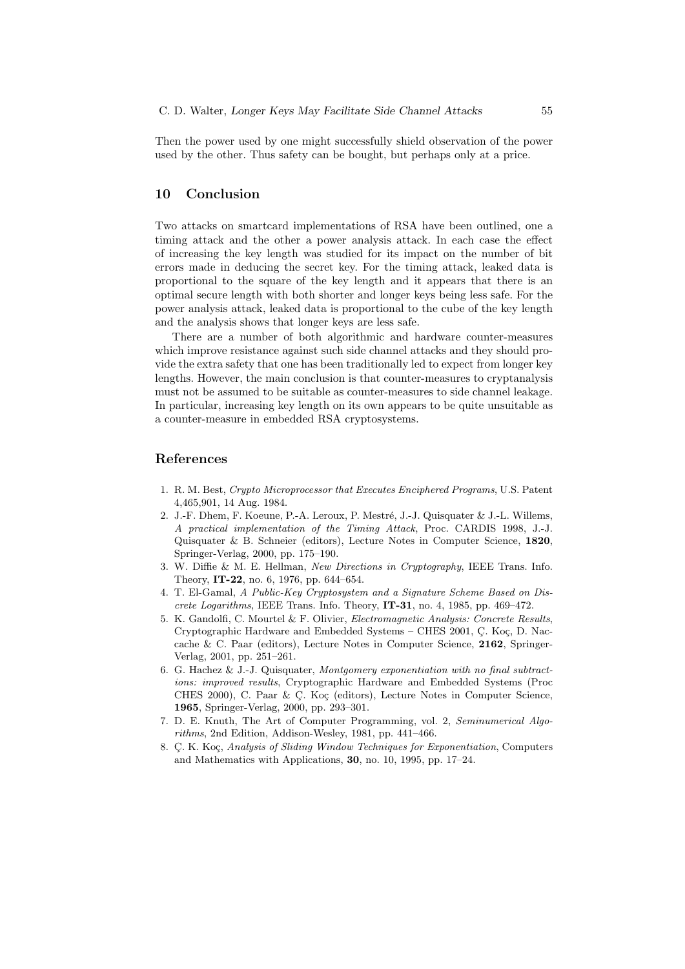Then the power used by one might successfully shield observation of the power used by the other. Thus safety can be bought, but perhaps only at a price.

## 10 Conclusion

Two attacks on smartcard implementations of RSA have been outlined, one a timing attack and the other a power analysis attack. In each case the effect of increasing the key length was studied for its impact on the number of bit errors made in deducing the secret key. For the timing attack, leaked data is proportional to the square of the key length and it appears that there is an optimal secure length with both shorter and longer keys being less safe. For the power analysis attack, leaked data is proportional to the cube of the key length and the analysis shows that longer keys are less safe.

There are a number of both algorithmic and hardware counter-measures which improve resistance against such side channel attacks and they should provide the extra safety that one has been traditionally led to expect from longer key lengths. However, the main conclusion is that counter-measures to cryptanalysis must not be assumed to be suitable as counter-measures to side channel leakage. In particular, increasing key length on its own appears to be quite unsuitable as a counter-measure in embedded RSA cryptosystems.

## References

- 1. R. M. Best, Crypto Microprocessor that Executes Enciphered Programs, U.S. Patent 4,465,901, 14 Aug. 1984.
- 2. J.-F. Dhem, F. Koeune, P.-A. Leroux, P. Mestré, J.-J. Quisquater & J.-L. Willems, A practical implementation of the Timing Attack, Proc. CARDIS 1998, J.-J. Quisquater & B. Schneier (editors), Lecture Notes in Computer Science, 1820, Springer-Verlag, 2000, pp. 175–190.
- 3. W. Diffie & M. E. Hellman, New Directions in Cryptography, IEEE Trans. Info. Theory, IT-22, no. 6, 1976, pp. 644–654.
- 4. T. El-Gamal, A Public-Key Cryptosystem and a Signature Scheme Based on Discrete Logarithms, IEEE Trans. Info. Theory,  $IT-31$ , no. 4, 1985, pp. 469–472.
- 5. K. Gandolfi, C. Mourtel & F. Olivier, Electromagnetic Analysis: Concrete Results, Cryptographic Hardware and Embedded Systems – CHES 2001, Ç. Koç, D. Naccache & C. Paar (editors), Lecture Notes in Computer Science, 2162, Springer-Verlag, 2001, pp. 251–261.
- 6. G. Hachez & J.-J. Quisquater, Montgomery exponentiation with no final subtractions: improved results, Cryptographic Hardware and Embedded Systems (Proc CHES 2000), C. Paar & Ç. Koç (editors), Lecture Notes in Computer Science, 1965, Springer-Verlag, 2000, pp. 293–301.
- 7. D. E. Knuth, The Art of Computer Programming, vol. 2, Seminumerical Algorithms, 2nd Edition, Addison-Wesley, 1981, pp. 441–466.
- 8. Ç. K. Koç, Analysis of Sliding Window Techniques for Exponentiation, Computers and Mathematics with Applications, 30, no. 10, 1995, pp. 17–24.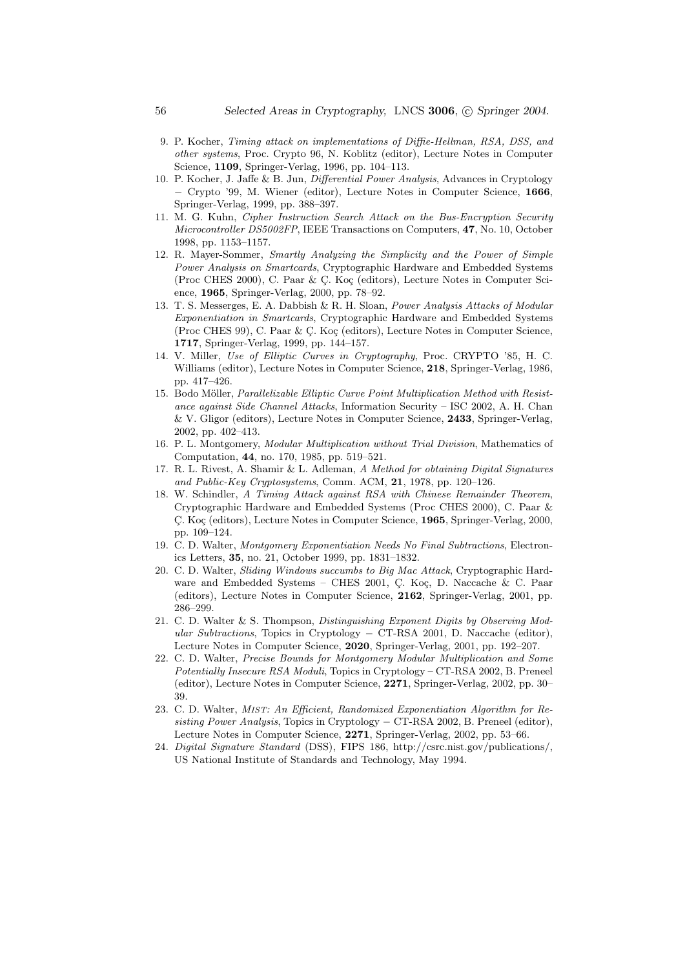- 9. P. Kocher, Timing attack on implementations of Diffie-Hellman, RSA, DSS, and other systems, Proc. Crypto 96, N. Koblitz (editor), Lecture Notes in Computer Science, 1109, Springer-Verlag, 1996, pp. 104–113.
- 10. P. Kocher, J. Jaffe & B. Jun, Differential Power Analysis, Advances in Cryptology − Crypto '99, M. Wiener (editor), Lecture Notes in Computer Science, 1666, Springer-Verlag, 1999, pp. 388–397.
- 11. M. G. Kuhn, Cipher Instruction Search Attack on the Bus-Encryption Security Microcontroller DS5002FP, IEEE Transactions on Computers, 47, No. 10, October 1998, pp. 1153–1157.
- 12. R. Mayer-Sommer, Smartly Analyzing the Simplicity and the Power of Simple Power Analysis on Smartcards, Cryptographic Hardware and Embedded Systems (Proc CHES 2000), C. Paar & C. Koç (editors), Lecture Notes in Computer Science, 1965, Springer-Verlag, 2000, pp. 78–92.
- 13. T. S. Messerges, E. A. Dabbish & R. H. Sloan, Power Analysis Attacks of Modular Exponentiation in Smartcards, Cryptographic Hardware and Embedded Systems (Proc CHES 99), C. Paar & Ç. Koç (editors), Lecture Notes in Computer Science, 1717, Springer-Verlag, 1999, pp. 144–157.
- 14. V. Miller, Use of Elliptic Curves in Cryptography, Proc. CRYPTO '85, H. C. Williams (editor), Lecture Notes in Computer Science, 218, Springer-Verlag, 1986, pp. 417–426.
- 15. Bodo Möller, Parallelizable Elliptic Curve Point Multiplication Method with Resistance against Side Channel Attacks, Information Security – ISC 2002, A. H. Chan & V. Gligor (editors), Lecture Notes in Computer Science, 2433, Springer-Verlag, 2002, pp. 402–413.
- 16. P. L. Montgomery, Modular Multiplication without Trial Division, Mathematics of Computation, 44, no. 170, 1985, pp. 519–521.
- 17. R. L. Rivest, A. Shamir & L. Adleman, A Method for obtaining Digital Signatures and Public-Key Cryptosystems, Comm. ACM, 21, 1978, pp. 120–126.
- 18. W. Schindler, A Timing Attack against RSA with Chinese Remainder Theorem, Cryptographic Hardware and Embedded Systems (Proc CHES 2000), C. Paar & C. Koç (editors), Lecture Notes in Computer Science, 1965, Springer-Verlag, 2000, pp. 109–124.
- 19. C. D. Walter, Montgomery Exponentiation Needs No Final Subtractions, Electronics Letters, 35, no. 21, October 1999, pp. 1831–1832.
- 20. C. D. Walter, Sliding Windows succumbs to Big Mac Attack, Cryptographic Hardware and Embedded Systems - CHES 2001, Ç. Koç, D. Naccache & C. Paar (editors), Lecture Notes in Computer Science, 2162, Springer-Verlag, 2001, pp. 286–299.
- 21. C. D. Walter & S. Thompson, Distinguishing Exponent Digits by Observing Modular Subtractions, Topics in Cryptology − CT-RSA 2001, D. Naccache (editor), Lecture Notes in Computer Science, 2020, Springer-Verlag, 2001, pp. 192–207.
- 22. C. D. Walter, Precise Bounds for Montgomery Modular Multiplication and Some Potentially Insecure RSA Moduli, Topics in Cryptology – CT-RSA 2002, B. Preneel (editor), Lecture Notes in Computer Science, 2271, Springer-Verlag, 2002, pp. 30– 39.
- 23. C. D. Walter, MIST: An Efficient, Randomized Exponentiation Algorithm for Resisting Power Analysis, Topics in Cryptology − CT-RSA 2002, B. Preneel (editor), Lecture Notes in Computer Science, 2271, Springer-Verlag, 2002, pp. 53–66.
- 24. Digital Signature Standard (DSS), FIPS 186, http://csrc.nist.gov/publications/, US National Institute of Standards and Technology, May 1994.